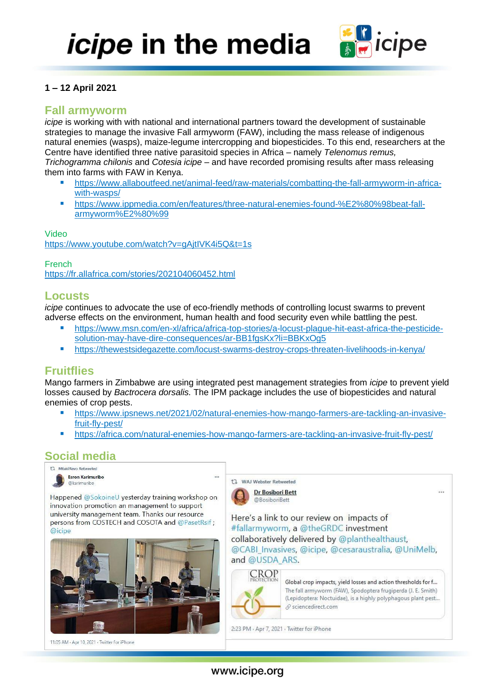

## **1 – 12 April 2021**

# **Fall armyworm**

*icipe* is working with with national and international partners toward the development of sustainable strategies to manage the invasive Fall armyworm (FAW), including the mass release of indigenous natural enemies (wasps), maize-legume intercropping and biopesticides. To this end, researchers at the Centre have identified three native parasitoid species in Africa – namely *Telenomus remus, Trichogramma chilonis* and *Cotesia icipe* – and have recorded promising results after mass releasing them into farms with FAW in Kenya.

- [https://www.allaboutfeed.net/animal-feed/raw-materials/combatting-the-fall-armyworm-in-africa](https://www.allaboutfeed.net/animal-feed/raw-materials/combatting-the-fall-armyworm-in-africa-with-wasps/)[with-wasps/](https://www.allaboutfeed.net/animal-feed/raw-materials/combatting-the-fall-armyworm-in-africa-with-wasps/)
- [https://www.ippmedia.com/en/features/three-natural-enemies-found-%E2%80%98beat-fall](https://www.ippmedia.com/en/features/three-natural-enemies-found-%E2%80%98beat-fall-armyworm%E2%80%99)[armyworm%E2%80%99](https://www.ippmedia.com/en/features/three-natural-enemies-found-%E2%80%98beat-fall-armyworm%E2%80%99)

Video <https://www.youtube.com/watch?v=gAjtIVK4i5Q&t=1s>

French

<https://fr.allafrica.com/stories/202104060452.html>

## **Locusts**

*icipe* continues to advocate the use of eco-friendly methods of controlling locust swarms to prevent adverse effects on the environment, human health and food security even while battling the pest.

- [https://www.msn.com/en-xl/africa/africa-top-stories/a-locust-plague-hit-east-africa-the-pesticide](https://www.msn.com/en-xl/africa/africa-top-stories/a-locust-plague-hit-east-africa-the-pesticide-solution-may-have-dire-consequences/ar-BB1fgsKx?li=BBKxOg5)[solution-may-have-dire-consequences/ar-BB1fgsKx?li=BBKxOg5](https://www.msn.com/en-xl/africa/africa-top-stories/a-locust-plague-hit-east-africa-the-pesticide-solution-may-have-dire-consequences/ar-BB1fgsKx?li=BBKxOg5)
- <https://thewestsidegazette.com/locust-swarms-destroy-crops-threaten-livelihoods-in-kenya/>

# **Fruitflies**

Mango farmers in Zimbabwe are using integrated pest management strategies from *icipe* to prevent yield losses caused by *Bactrocera dorsalis.* The IPM package includes the use of biopesticides and natural enemies of crop pests.

- [https://www.ipsnews.net/2021/02/natural-enemies-how-mango-farmers-are-tackling-an-invasive](https://www.ipsnews.net/2021/02/natural-enemies-how-mango-farmers-are-tackling-an-invasive-fruit-fly-pest/)[fruit-fly-pest/](https://www.ipsnews.net/2021/02/natural-enemies-how-mango-farmers-are-tackling-an-invasive-fruit-fly-pest/)
- <https://africa.com/natural-enemies-how-mango-farmers-are-tackling-an-invasive-fruit-fly-pest/>

# **Social media**



Happened @SokoineU yesterday training workshop on innovation promotion an management to support university management team. Thanks our resource persons from COSTECH and COSOTA and @PasetRsif; @icipe



11:05 AM · Apr 10, 2021 · Twitter for iPhone



Here's a link to our review on impacts of #fallarmyworm, a @theGRDC investment collaboratively delivered by @planthealthaust, @CABI\_Invasives, @icipe, @cesaraustralia, @UniMelb, and @USDA ARS.



Global crop impacts, yield losses and action thresholds for f... The fall armyworm (FAW), Spodoptera frugiperda (J. E. Smith) (Lepidoptera: Noctuidae), is a highly polyphagous plant pest... ⊗ sciencedirect.com

2:23 PM · Apr 7, 2021 · Twitter for iPhone

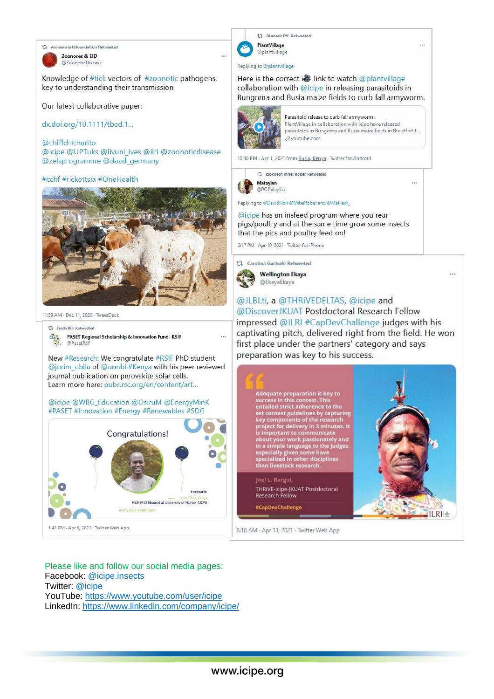17 Animalworldfoundation Retweeted

Zoonoses & EID @ZoonoticDisease

Knowledge of #tick vectors of #zoonotic pathogens: key to understanding their transmission

Our latest collaborative paper:

dx.doi.org/10.1111/tbed.1...

@chiffchicharito @icipe @UPTuks @livuni ives @ilri @zoonoticdisease @zelsprogramme @daad\_germany

### #cchf #rickettsia #OneHealth



11:59 AM - Dec 11, 2020 - TweetDeck

#### 17 Linda Bih Retweeted

 $\mathbf{C}_{\mathbf{e}_0}$ PASET Regional Scholarship & Innovation Fund-RSIF @PasetRsi

New #Research: We congratulate #RSIF PhD student @jorim\_obila of @uonbi #Kenya with his peer reviewed journal publication on perovskite solar cells. Learn more here: pubs.rsc.org/en/content/art...

@icipe @WBG\_Education @OsiruM @EnergyMinK #PASET #Innovation #Energy #Renewables #SDG



Please like and follow our social media pages: Facebook: @icipe.insects Twitter: @icipe YouTube: https://www.youtube.com/user/icipe LinkedIn: https://www.linkedin.com/company/icipe/



### Here is the correct **&** link to watch @plantvillage collaboration with @icipe in releasing parasitoids in Bungoma and Busia maize fields to curb fall armyworm.



Parasitoid release to curb fall armyworm. PlantVillage in collaboration with icipe have released parasitoids in Bungoma and Busia maize fields in the effort t... & youtube.com

10:30 PM · Apr 1, 2021 from Busia, Kenya · Twitter for Android

t] kipkoech mitei Rober Retweeted **Matayian** @POPplaylist

Replying to @DavidNdii @MiteiRober and @Makiadi\_

@icipe has an insfeed program where you rear pigs/poultry and at the same time grow some insects that the pics and poultry feed on!

2:17 PM · Apr 10, 2021 · Twitter for iPhone

t] Carolina Gachuhi Retweeted



@JLBLti, a @THRiVEDELTAS, @icipe and @DiscoverJKUAT Postdoctoral Research Fellow impressed @ILRI #CapDevChallenge judges with his captivating pitch, delivered right from the field. He won first place under the partners' category and says preparation was key to his success.



8:18 AM · Apr 13, 2021 · Twitter Web App

 $\cdots$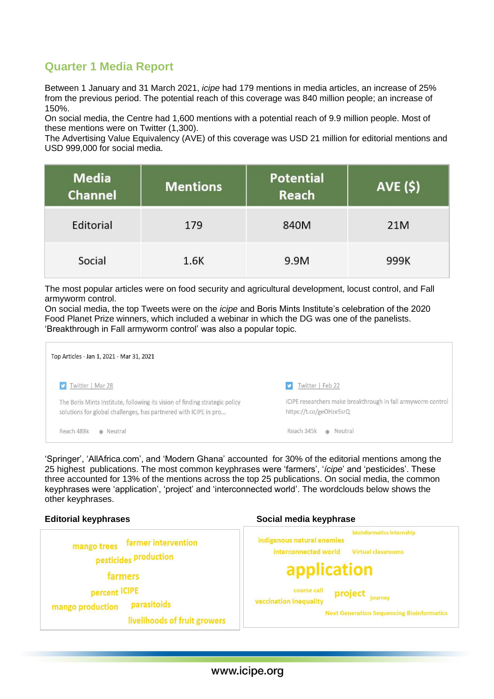# **Quarter 1 Media Report**

Between 1 January and 31 March 2021, *icipe* had 179 mentions in media articles, an increase of 25% from the previous period. The potential reach of this coverage was 840 million people; an increase of 150%.

On social media, the Centre had 1,600 mentions with a potential reach of 9.9 million people. Most of these mentions were on Twitter (1,300).

The Advertising Value Equivalency (AVE) of this coverage was USD 21 million for editorial mentions and USD 999,000 for social media.

| <b>Media</b><br><b>Channel</b> | <b>Mentions</b> | <b>Potential</b><br>Reach | <b>AVE (\$)</b> |
|--------------------------------|-----------------|---------------------------|-----------------|
| Editorial                      | 179             | 840M                      | 21M             |
| Social                         | 1.6K            | 9.9M                      | 999K            |

The most popular articles were on food security and agricultural development, locust control, and Fall armyworm control.

On social media, the top Tweets were on the *icipe* and Boris Mints Institute's celebration of the 2020 Food Planet Prize winners, which included a webinar in which the DG was one of the panelists. 'Breakthrough in Fall armyworm control' was also a popular topic.

| Top Articles - Jan 1, 2021 - Mar 31, 2021                                                                                                       |                                                                                         |  |  |  |
|-------------------------------------------------------------------------------------------------------------------------------------------------|-----------------------------------------------------------------------------------------|--|--|--|
| Twitter   Mar 28                                                                                                                                | Twitter   Feb 22                                                                        |  |  |  |
| The Boris Mints Institute, following its vision of finding strategic policy<br>solutions for global challenges, has partnered with ICIPE in pro | ICIPE researchers make breakthrough in fall armyworm control<br>https://t.co/geOHze5srQ |  |  |  |
| Reach 488k<br>• Neutral                                                                                                                         | Reach 345k · Neutral                                                                    |  |  |  |

'Springer', 'AllAfrica.com', and 'Modern Ghana' accounted for 30% of the editorial mentions among the 25 highest publications. The most common keyphrases were 'farmers', '*ícipe*' and 'pesticides'. These three accounted for 13% of the mentions across the top 25 publications. On social media, the common keyphrases were 'application', 'project' and 'interconnected world'. The wordclouds below shows the other keyphrases.

#### **Editorial keyphrases Social media keyphrase**bioinformatics internship mango trees farmer intervention indigenous natural enemies interconnected world **Virtual classrooms** pesticides production application farmers percent ICIPE course call project journey vaccination inequality parasitoids mango production **Next Generation Sequencing Bioinformatics** livelihoods of fruit growers